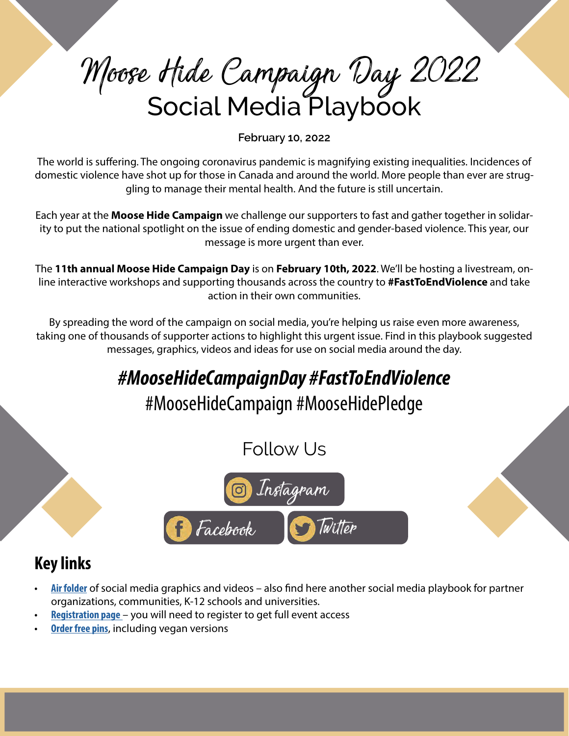# Moose Hide Campaign Day 2022 Social Media Playbook

**February 10, 2022**

The world is suffering. The ongoing coronavirus pandemic is magnifying existing inequalities. Incidences of domestic violence have shot up for those in Canada and around the world. More people than ever are struggling to manage their mental health. And the future is still uncertain.

Each year at the **Moose Hide Campaign** we challenge our supporters to fast and gather together in solidarity to put the national spotlight on the issue of ending domestic and gender-based violence. This year, our message is more urgent than ever.

The **11th annual Moose Hide Campaign Day** is on **February 10th, 2022**. We'll be hosting a livestream, online interactive workshops and supporting thousands across the country to **#FastToEndViolence** and take action in their own communities.

By spreading the word of the campaign on social media, you're helping us raise even more awareness, taking one of thousands of supporter actions to highlight this urgent issue. Find in this playbook suggested messages, graphics, videos and ideas for use on social media around the day.

## *#MooseHideCampaignDay #FastToEndViolence*

## #MooseHideCampaign #MooseHidePledge

## Follow Us



## **Key links**

- **• [Air folder](https://air.inc/a/bVbvER0If)** of social media graphics and videos also find here another social media playbook for partner organizations, communities, K-12 schools and universities.
- **• [Registration page](http://www.moosehidecampaign.ca/get-involved/moose-hide-campaign-day)** you will need to register to get full event access
- **• [Order free pins](https://moosehidecampaign.ca/get-involved/order-pins-and-cards)**, including vegan versions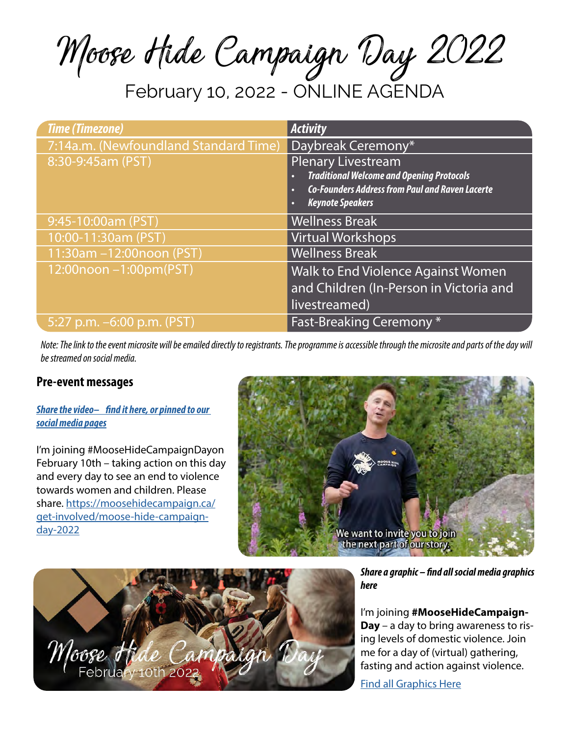Moose Hide Campaign Day 2022

February 10, 2022 - ONLINE AGENDA

| <b>Time (Timezone)</b>                | <b>Activity</b>                                             |
|---------------------------------------|-------------------------------------------------------------|
| 7:14a.m. (Newfoundland Standard Time) | Daybreak Ceremony*                                          |
| 8:30-9:45am (PST)                     | <b>Plenary Livestream</b>                                   |
|                                       | <b>Traditional Welcome and Opening Protocols</b><br>c       |
|                                       | <b>Co-Founders Address from Paul and Raven Lacerte</b><br>о |
|                                       | <b>Keynote Speakers</b>                                     |
| 9:45-10:00am (PST)                    | <b>Wellness Break</b>                                       |
| 10:00-11:30am (PST)                   | <b>Virtual Workshops</b>                                    |
| 11:30am -12:00noon (PST)              | <b>Wellness Break</b>                                       |
| 12:00noon -1:00pm(PST)                | <b>Walk to End Violence Against Women</b>                   |
|                                       | and Children (In-Person in Victoria and                     |
|                                       | livestreamed)                                               |
| 5:27 p.m. $-6:00$ p.m. (PST)          | Fast-Breaking Ceremony*                                     |

*Note: The link to the event microsite will be emailed directly to registrants. The programme is accessible through the microsite and parts of the day will be streamed on social media.*

#### **Pre-event messages**

#### *[Share the video– find it here, or pinned to our](https://www.youtube.com/watch?v=Uc1U0cx7kqM)  [social media pages](https://www.youtube.com/watch?v=Uc1U0cx7kqM)*

I'm joining #MooseHideCampaignDayon February 10th – taking action on this day and every day to see an end to violence towards women and children. Please share. [https://moosehidecampaign.ca/](https://moosehidecampaign.ca/get-involved/moose-hide-campaign-day-2022) [get-involved/moose-hide-campaign](https://moosehidecampaign.ca/get-involved/moose-hide-campaign-day-2022)[day-2022](https://moosehidecampaign.ca/get-involved/moose-hide-campaign-day-2022)





*Share a graphic – find all social media graphics here*

I'm joining **#MooseHideCampaign-Day** – a day to bring awareness to rising levels of domestic violence. Join me for a day of (virtual) gathering, fasting and action against violence.

[Find all Graphics Here](https://air.inc/a/bVbvER0If)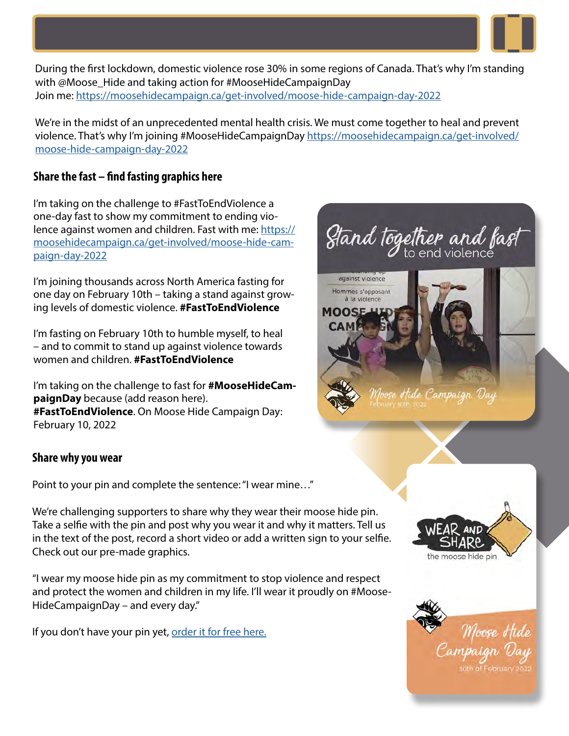

During the first lockdown, domestic violence rose 30% in some regions of Canada. That's why I'm standing with @Moose\_Hide and taking action for #MooseHideCampaignDay Join me: <https://moosehidecampaign.ca/get-involved/moose-hide-campaign-day-2022>

We're in the midst of an unprecedented mental health crisis. We must come together to heal and prevent violence. That's why I'm joining #MooseHideCampaignDay [https://moosehidecampaign.ca/get-involved/](https://moosehidecampaign.ca/get-involved/moose-hide-campaign-day-2022) [moose-hide-campaign-day-2022](https://moosehidecampaign.ca/get-involved/moose-hide-campaign-day-2022)

#### **Share the fast – find fasting graphics here**

I'm taking on the challenge to #FastToEndViolence a one-day fast to show my commitment to ending violence against women and children. Fast with me: [https://](mailto:/get-involved/moose-hide-campaign-day-2022?subject=) [moosehidecampaign.ca/get-involved/moose-hide-cam](mailto:/get-involved/moose-hide-campaign-day-2022?subject=)[paign-day-2022](mailto:/get-involved/moose-hide-campaign-day-2022?subject=)

I'm joining thousands across North America fasting for one day on February 10th – taking a stand against growing levels of domestic violence. **#FastToEndViolence**

I'm fasting on February 10th to humble myself, to heal – and to commit to stand up against violence towards women and children. **#FastToEndViolence**

I'm taking on the challenge to fast for **#MooseHideCampaignDay** because (add reason here). **#FastToEndViolence**. On Moose Hide Campaign Day: February 10, 2022

#### **Share why you wear**

Point to your pin and complete the sentence: "I wear mine…"

We're challenging supporters to share why they wear their moose hide pin. Take a selfie with the pin and post why you wear it and why it matters. Tell us in the text of the post, record a short video or add a written sign to your selfie. Check out our pre-made graphics.

"I wear my moose hide pin as my commitment to stop violence and respect and protect the women and children in my life. I'll wear it proudly on #Moose-HideCampaignDay – and every day."

If you don't have your pin yet, [order it for free here.](mailto:https://moosehidecampaign.ca/get-involved/order-pins-and-cards?subject=)



à la violence

**MOOS**